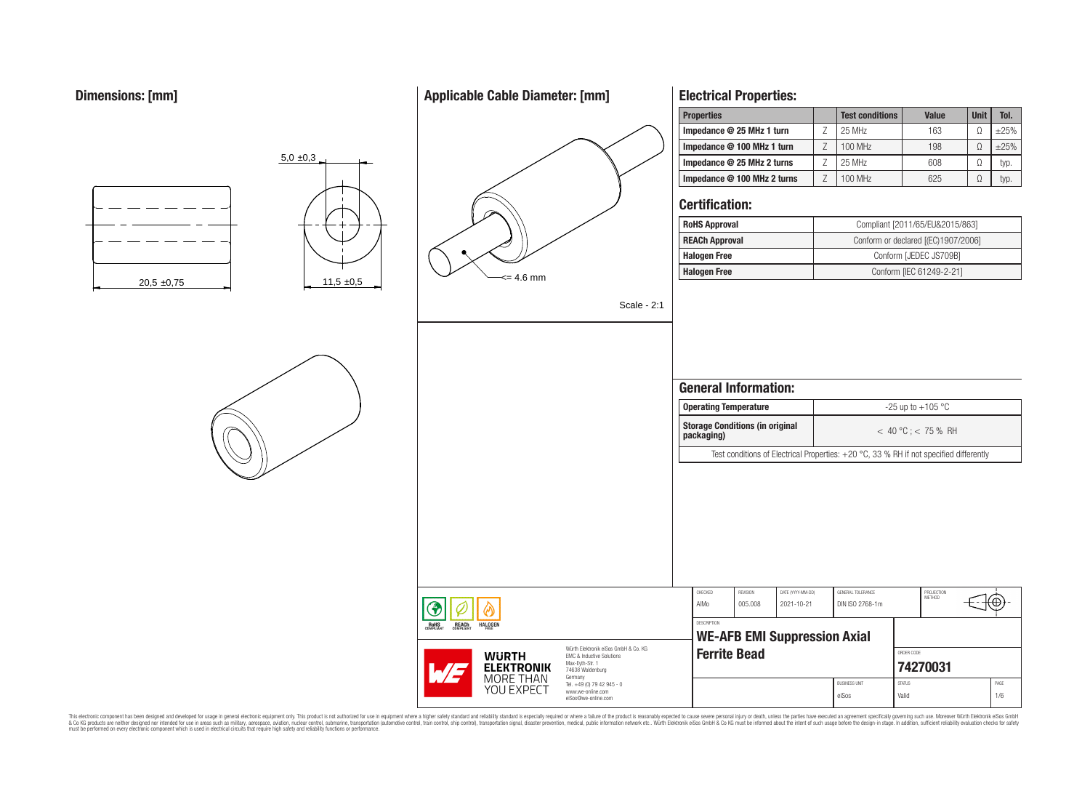# **Applicable Cable Diameter: [mm]**





**ROHS** 

**REACH**<br>COMPLIANT

**HALOGEN** 

**WURTH ELEKTRONIK** MORE THAN YOU EXPECT

# **Electrical Properties:**

| <b>Properties</b>           | <b>Test conditions</b> | <b>Value</b> | <b>Unit</b> | Tol.   |
|-----------------------------|------------------------|--------------|-------------|--------|
| Impedance @ 25 MHz 1 turn   | 25 MHz                 | 163          | Ω           | $+25%$ |
| Impedance @ 100 MHz 1 turn  | 100 MHz                | 198          |             | $+25%$ |
| Impedance @ 25 MHz 2 turns  | 25 MHz                 | 608          | Ω           | typ.   |
| Impedance @ 100 MHz 2 turns | 100 MHz                | 625          | Ω           | typ.   |

### **Certification:**

| <b>RoHS Approval</b>  | Compliant [2011/65/EU&2015/863]     |
|-----------------------|-------------------------------------|
| <b>REACh Approval</b> | Conform or declared [(EC)1907/2006] |
| <b>Halogen Free</b>   | Conform [JEDEC JS709B]              |
| <b>Halogen Free</b>   | Conform [IEC 61249-2-21]            |

Scale - 2:1

|                                                                                      |                    | <b>Operating Temperature</b>           |                                     |                                                                                          |               | -25 up to $+105$ °C    |      |
|--------------------------------------------------------------------------------------|--------------------|----------------------------------------|-------------------------------------|------------------------------------------------------------------------------------------|---------------|------------------------|------|
|                                                                                      | packaging)         | <b>Storage Conditions (in original</b> |                                     |                                                                                          |               | $<$ 40 °C; $<$ 75 % RH |      |
|                                                                                      |                    |                                        |                                     | Test conditions of Electrical Properties: $+20$ °C, 33 % RH if not specified differently |               |                        |      |
|                                                                                      |                    |                                        |                                     |                                                                                          |               |                        |      |
|                                                                                      | CHECKED            | <b>REVISION</b>                        | DATE (YYYY-MM-DD)                   | GENERAL TOLERANCE                                                                        |               | PROJECTION<br>METHOD   |      |
|                                                                                      |                    |                                        |                                     |                                                                                          |               |                        |      |
|                                                                                      | AIMo               | 005.008                                | 2021-10-21                          | DIN ISO 2768-1m                                                                          |               |                        |      |
|                                                                                      | <b>DESCRIPTION</b> |                                        | <b>WE-AFB EMI Suppression Axial</b> |                                                                                          |               |                        |      |
| Würth Elektronik eiSos GmbH & Co. KG<br>EMC & Inductive Solutions<br>Max-Eyth-Str. 1 |                    | <b>Ferrite Bead</b>                    |                                     |                                                                                          | ORDER CODE    | 74270031               |      |
| 74638 Waldenburg<br>Tel. +49 (0) 79 42 945 - 0<br>www.we-online.com                  |                    |                                        |                                     | <b>BUSINESS UNIT</b>                                                                     | <b>STATUS</b> |                        | PAGE |



This electronic component has been designed and developed for usage in general electronic equipment only. This product is not authorized for subserved requipment where a higher selection equipment where a higher selection

EMC & Inductive Solutions Max-Eyth-Str. 1 74638 Waldenburg Germany Tel. +49 (0) 79 42 945 - 0 www.we-online.com eiSos@we-online.com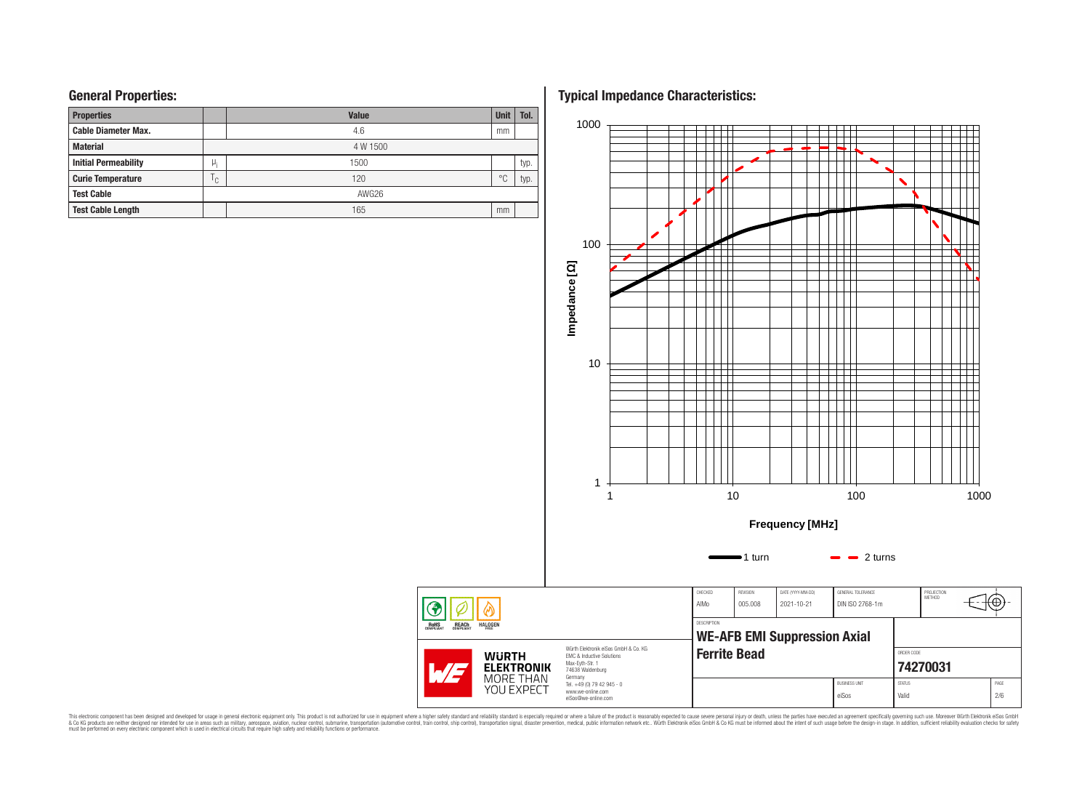### **General Properties:**

| <b>Properties</b>           |              | <b>Value</b> | <b>Unit</b>    | Tol. |
|-----------------------------|--------------|--------------|----------------|------|
| <b>Cable Diameter Max.</b>  |              | 4.6          | mm             |      |
| <b>Material</b>             |              | 4 W 1500     |                |      |
| <b>Initial Permeability</b> | μ,           | 1500         |                | typ. |
| <b>Curie Temperature</b>    | $\cap$<br>ι. | 120          | $\circ$ $\cap$ | typ. |
| <b>Test Cable</b>           |              | AWG26        |                |      |
| <b>Test Cable Length</b>    |              | 165          | mm             |      |

**Typical Impedance Characteristics:**



This electronic component has been designed and developed for usage in general electronic equipment only. This product is not authorized for subserved requipment where a higher selection equipment where a higher selection

◈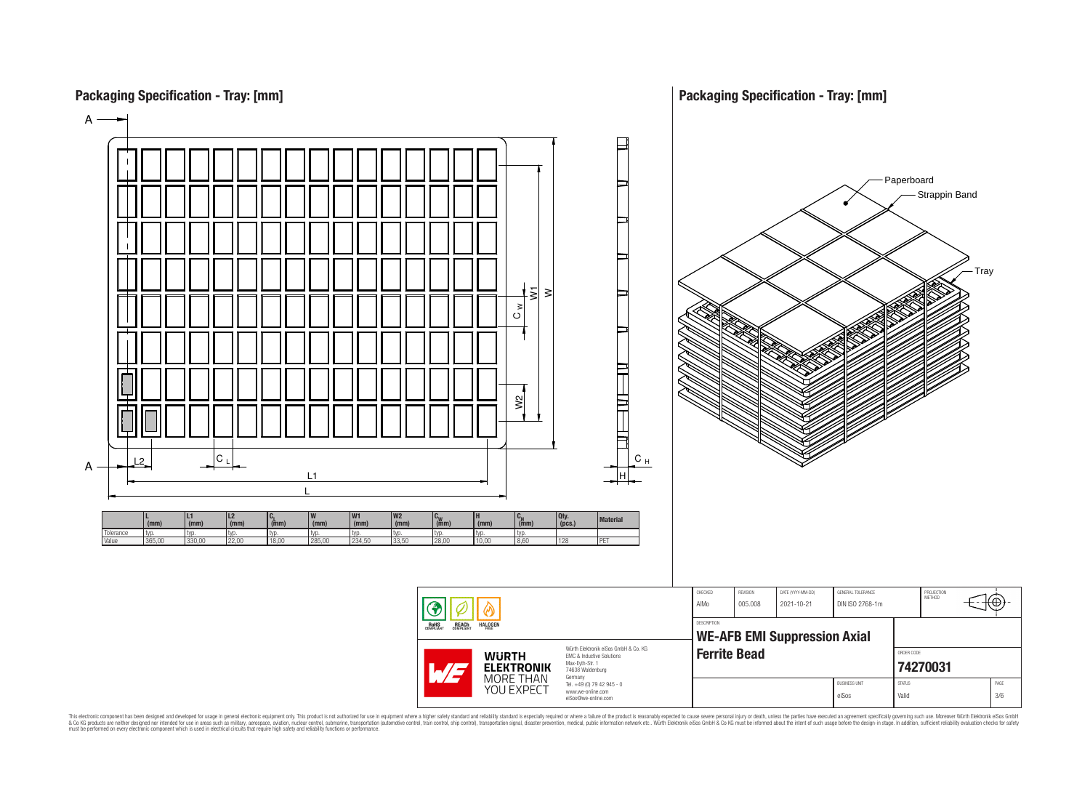

This electronic component has been designed and developed for usage in general electronic equipment only. This product is not authorized for subserved requipment where a higher selection equipment where a higher selection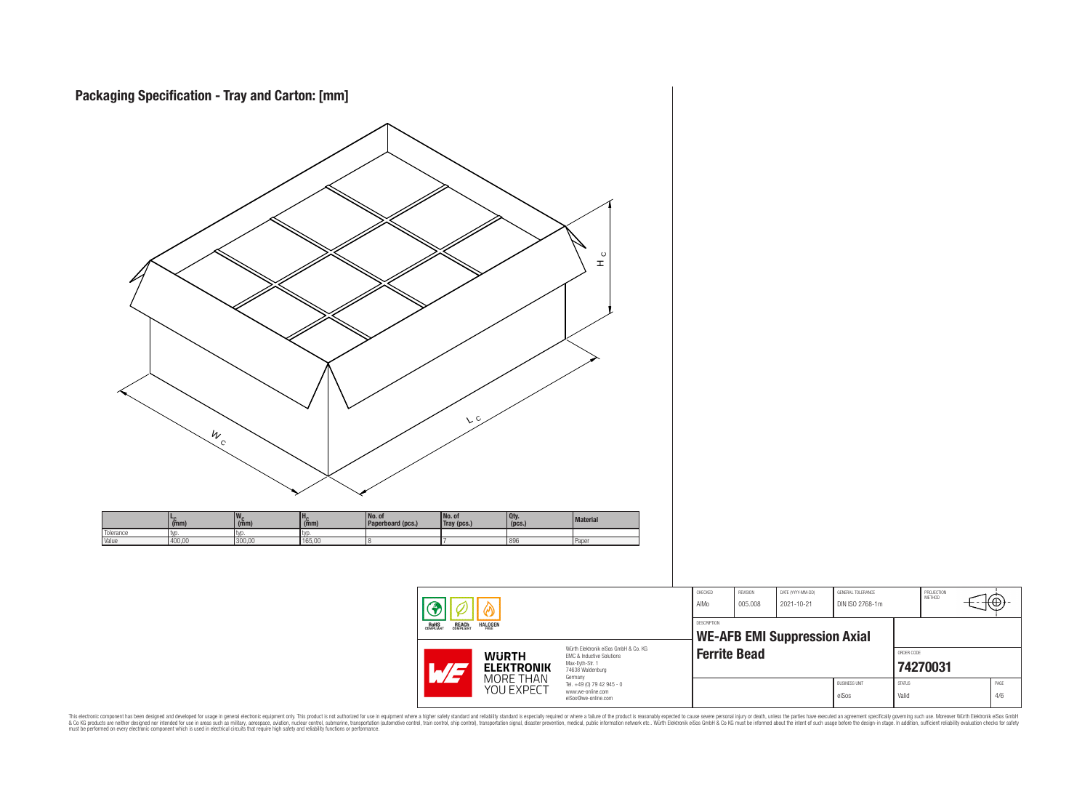![](_page_3_Figure_0.jpeg)

This electronic component has been designed and developed for usage in general electronic equipment only. This product is not authorized for subserved requipment where a higher selection equipment where a higher selection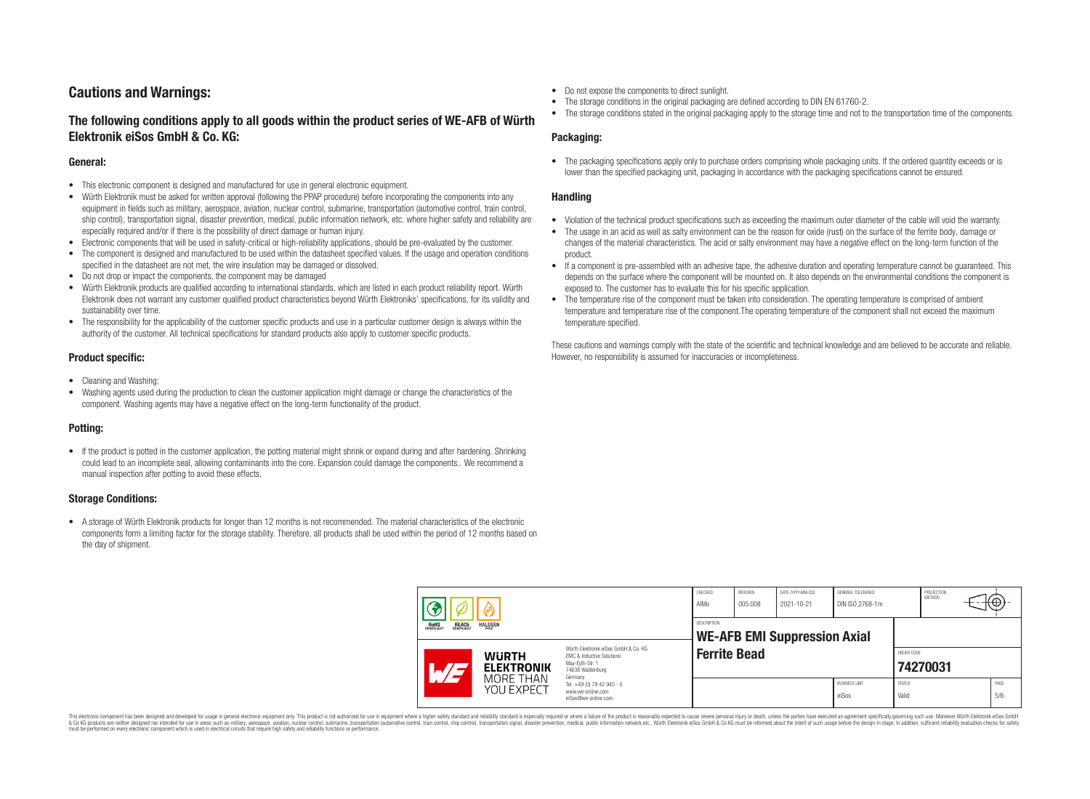## **Cautions and Warnings:**

## **The following conditions apply to all goods within the product series of WE-AFB of Würth Elektronik eiSos GmbH & Co. KG:**

#### **General:**

- This electronic component is designed and manufactured for use in general electronic equipment.
- Würth Elektronik must be asked for written approval (following the PPAP procedure) before incorporating the components into any equipment in fields such as military, aerospace, aviation, nuclear control, submarine, transportation (automotive control, train control, ship control), transportation signal, disaster prevention, medical, public information network, etc. where higher safety and reliability are especially required and/or if there is the possibility of direct damage or human injury.
- Electronic components that will be used in safety-critical or high-reliability applications, should be pre-evaluated by the customer.
- The component is designed and manufactured to be used within the datasheet specified values. If the usage and operation conditions specified in the datasheet are not met, the wire insulation may be damaged or dissolved.
- Do not drop or impact the components, the component may be damaged
- Würth Elektronik products are qualified according to international standards, which are listed in each product reliability report. Würth Elektronik does not warrant any customer qualified product characteristics beyond Würth Elektroniks' specifications, for its validity and sustainability over time.
- The responsibility for the applicability of the customer specific products and use in a particular customer design is always within the authority of the customer. All technical specifications for standard products also apply to customer specific products.

### **Product specific:**

- Cleaning and Washing:
- Washing agents used during the production to clean the customer application might damage or change the characteristics of the component. Washing agents may have a negative effect on the long-term functionality of the product.

### **Potting:**

• If the product is potted in the customer application, the potting material might shrink or expand during and after hardening. Shrinking could lead to an incomplete seal, allowing contaminants into the core. Expansion could damage the components.. We recommend a manual inspection after potting to avoid these effects.

### **Storage Conditions:**

• A storage of Würth Elektronik products for longer than 12 months is not recommended. The material characteristics of the electronic components form a limiting factor for the storage stability. Therefore, all products shall be used within the period of 12 months based on the day of shipment.

- Do not expose the components to direct sunlight.
- The storage conditions in the original packaging are defined according to DIN EN 61760-2.
- The storage conditions stated in the original packaging apply to the storage time and not to the transportation time of the components.

### **Packaging:**

• The packaging specifications apply only to purchase orders comprising whole packaging units. If the ordered quantity exceeds or is lower than the specified packaging unit, packaging in accordance with the packaging specifications cannot be ensured.

### **Handling**

- Violation of the technical product specifications such as exceeding the maximum outer diameter of the cable will void the warranty.
- The usage in an acid as well as salty environment can be the reason for oxide (rust) on the surface of the ferrite body, damage or changes of the material characteristics. The acid or salty environment may have a negative effect on the long-term function of the product.
- If a component is pre-assembled with an adhesive tape, the adhesive duration and operating temperature cannot be guaranteed. This depends on the surface where the component will be mounted on. It also depends on the environmental conditions the component is exposed to. The customer has to evaluate this for his specific application.
- The temperature rise of the component must be taken into consideration. The operating temperature is comprised of ambient temperature and temperature rise of the component.The operating temperature of the component shall not exceed the maximum temperature specified.

These cautions and warnings comply with the state of the scientific and technical knowledge and are believed to be accurate and reliable. However, no responsibility is assumed for inaccuracies or incompleteness.

| <b>REACH</b><br>COMPLIANT<br><b>HALOGEN</b><br>ROHS<br>COMPLIANT                                                                                                                      |  | CHECKED<br>AIMo                                           | REVISION<br>005.008                                                               | DATE (YYYY-MM-DD)<br>2021-10-21 | GENERAL TOLERANCE<br>DIN ISO 2768-1m |            | PROJECTION<br>METHOD          | +⊕,                    |  |             |
|---------------------------------------------------------------------------------------------------------------------------------------------------------------------------------------|--|-----------------------------------------------------------|-----------------------------------------------------------------------------------|---------------------------------|--------------------------------------|------------|-------------------------------|------------------------|--|-------------|
|                                                                                                                                                                                       |  | <b>DESCRIPTION</b><br><b>WE-AFB EMI Suppression Axial</b> |                                                                                   |                                 |                                      |            |                               |                        |  |             |
| Würth Elektronik eiSos GmbH & Co. KG<br><b>WURTH</b><br><b>EMC &amp; Inductive Solutions</b><br>Max-Eyth-Str. 1<br><b>ELEKTRONIK</b><br>$\mathcal{A}/\mathcal{A}$<br>74638 Waldenburg |  | <b>Ferrite Bead</b>                                       |                                                                                   |                                 |                                      | ORDER CODE | 74270031                      |                        |  |             |
|                                                                                                                                                                                       |  | MORE THAN<br>YOU EXPECT                                   | Germany<br>Tel. +49 (0) 79 42 945 - 0<br>www.we-online.com<br>eiSos@we-online.com |                                 |                                      |            | <b>BUSINESS UNIT</b><br>eiSos | <b>STATUS</b><br>Valid |  | PAGE<br>5/6 |

This electronic component has been designed and developed for usage in general electronic equipment only. This product is not authorized for use in equipment where a higher safety standard and reliability standard si espec & Ook product a label and the membed of the seasuch as marked and as which such a membed and the such assume that income in the seasuch and the simulation and the such assume that include to the such a membed and the such